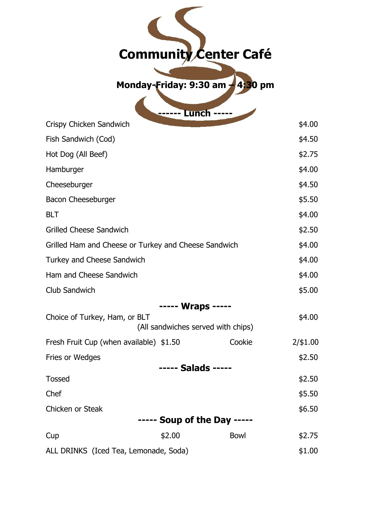| <b>Community Center Café</b> |  |
|------------------------------|--|



| Crispy Chicken Sandwich                              |                    |                                    | \$4.00   |
|------------------------------------------------------|--------------------|------------------------------------|----------|
| Fish Sandwich (Cod)                                  |                    |                                    | \$4.50   |
| Hot Dog (All Beef)                                   |                    |                                    | \$2.75   |
| Hamburger                                            |                    |                                    | \$4.00   |
| Cheeseburger                                         |                    |                                    | \$4.50   |
| Bacon Cheeseburger                                   |                    |                                    | \$5.50   |
| <b>BLT</b>                                           |                    |                                    | \$4.00   |
| <b>Grilled Cheese Sandwich</b>                       |                    |                                    | \$2.50   |
| Grilled Ham and Cheese or Turkey and Cheese Sandwich |                    |                                    | \$4.00   |
| Turkey and Cheese Sandwich                           |                    |                                    | \$4.00   |
| Ham and Cheese Sandwich                              |                    |                                    | \$4.00   |
| <b>Club Sandwich</b>                                 |                    |                                    | \$5.00   |
|                                                      | ----- Wraps -----  |                                    |          |
| Choice of Turkey, Ham, or BLT                        |                    | (All sandwiches served with chips) | \$4.00   |
| Fresh Fruit Cup (when available) \$1.50              |                    | Cookie                             | 2/\$1.00 |
| Fries or Wedges                                      |                    |                                    | \$2.50   |
|                                                      | ----- Salads ----- |                                    |          |
| <b>Tossed</b>                                        |                    |                                    | \$2.50   |
| Chef                                                 |                    |                                    | \$5.50   |
| Chicken or Steak                                     |                    |                                    | \$6.50   |
|                                                      |                    | ----- Soup of the Day -----        |          |
| Cup                                                  | \$2.00             | <b>Bowl</b>                        | \$2.75   |
| ALL DRINKS (Iced Tea, Lemonade, Soda)                |                    |                                    | \$1.00   |